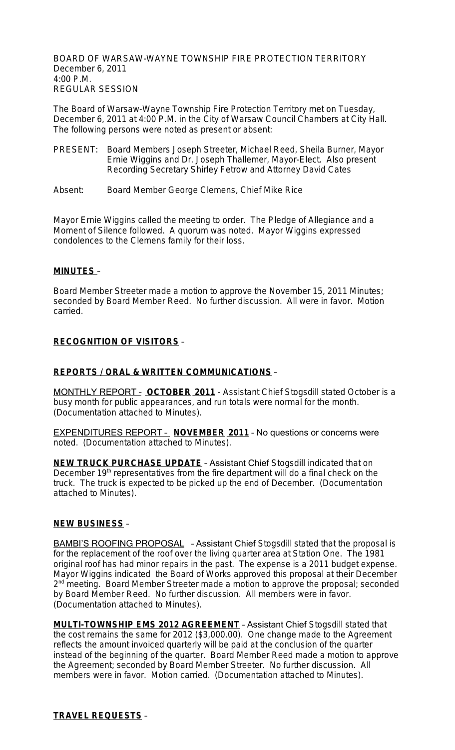BOARD OF WARSAW-WAYNE TOWNSHIP FIRE PROTECTION TERRITORY December 6, 2011 4:00 P.M. REGULAR SESSION

The Board of Warsaw-Wayne Township Fire Protection Territory met on Tuesday, December 6, 2011 at 4:00 P.M. in the City of Warsaw Council Chambers at City Hall. The following persons were noted as present or absent:

- PRESENT: Board Members Joseph Streeter, Michael Reed, Sheila Burner, Mayor Ernie Wiggins and Dr. Joseph Thallemer, Mayor-Elect. Also present Recording Secretary Shirley Fetrow and Attorney David Cates
- Absent: Board Member George Clemens, Chief Mike Rice

Mayor Ernie Wiggins called the meeting to order. The Pledge of Allegiance and a Moment of Silence followed. A quorum was noted. Mayor Wiggins expressed condolences to the Clemens family for their loss.

#### **MINUTES** –

Board Member Streeter made a motion to approve the November 15, 2011 Minutes; seconded by Board Member Reed. No further discussion. All were in favor. Motion carried.

## **RECOGNITION OF VISITORS** –

### **REPORTS / ORAL & WRITTEN COMMUNICATIONS** –

MONTHLY REPORT – **OCTOBER 2011** - Assistant Chief Stogsdill stated October is a busy month for public appearances, and run totals were normal for the month. (Documentation attached to Minutes).

EXPENDITURES REPORT – **NOVEMBER 2011** – No questions or concerns were noted. (Documentation attached to Minutes).

**NEW TRUCK PURCHASE UPDATE** - Assistant Chief Stogsdill indicated that on December 19<sup>th</sup> representatives from the fire department will do a final check on the truck. The truck is expected to be picked up the end of December. (Documentation attached to Minutes).

#### **NEW BUSINESS** –

BAMBI'S ROOFING PROPOSAL - Assistant Chief Stogsdill stated that the proposal is for the replacement of the roof over the living quarter area at Station One. The 1981 original roof has had minor repairs in the past. The expense is a 2011 budget expense. Mayor Wiggins indicated the Board of Works approved this proposal at their December 2<sup>nd</sup> meeting. Board Member Streeter made a motion to approve the proposal; seconded by Board Member Reed. No further discussion. All members were in favor. (Documentation attached to Minutes).

**MULTI-TOWNSHIP EMS 2012 AGREEMENT** – Assistant Chief Stogsdill stated that the cost remains the same for 2012 (\$3,000.00). One change made to the Agreement reflects the amount invoiced quarterly will be paid at the conclusion of the quarter instead of the beginning of the quarter. Board Member Reed made a motion to approve the Agreement; seconded by Board Member Streeter. No further discussion. All members were in favor. Motion carried. (Documentation attached to Minutes).

#### **TRAVEL REQUESTS** –